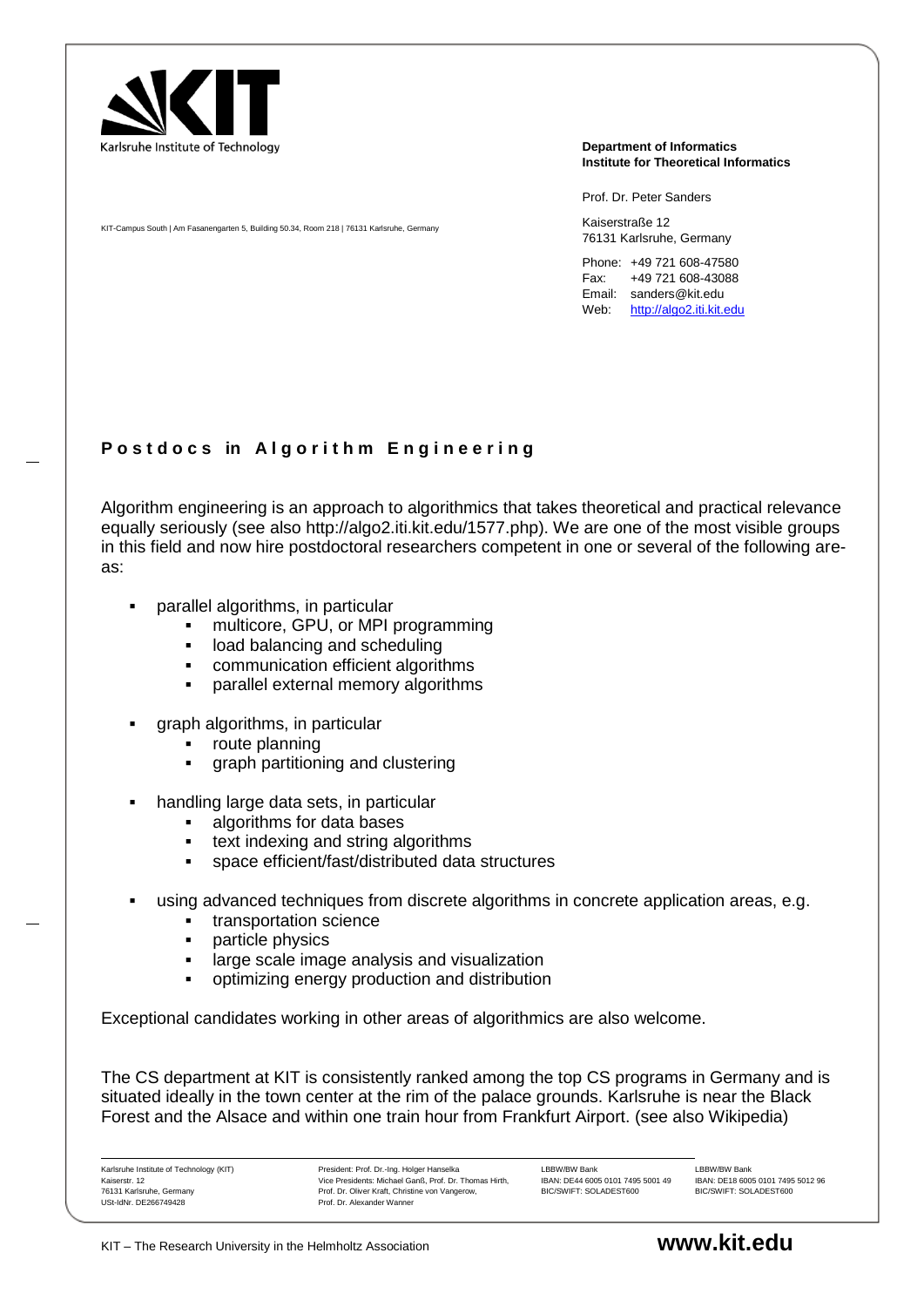

**Department of Informatics Institute for Theoretical Informatics**

Prof. Dr. Peter Sanders

Kaiserstraße 12 76131 Karlsruhe, Germany

Phone: +49 721 608-47580 Fax: +49 721 608-43088 Email: sanders@kit.edu Web: [http://algo2.iti.kit.edu](http://algo2.iti.kit.edu/)

## **P o s t d o c s in A l g o r i t h m E n g i n e e r i n g**

Algorithm engineering is an approach to algorithmics that takes theoretical and practical relevance equally seriously (see also http://algo2.iti.kit.edu/1577.php). We are one of the most visible groups in this field and now hire postdoctoral researchers competent in one or several of the following areas:

parallel algorithms, in particular

KIT-Campus South | Am Fasanengarten 5, Building 50.34, Room 218 | 76131 Karlsruhe, Germany

- multicore, GPU, or MPI programming
- **I.** load balancing and scheduling
- communication efficient algorithms
- parallel external memory algorithms
- graph algorithms, in particular
	- route planning
	- graph partitioning and clustering
- handling large data sets, in particular
	- algorithms for data bases
	- **text indexing and string algorithms**
	- space efficient/fast/distributed data structures
- using advanced techniques from discrete algorithms in concrete application areas, e.g.
	- **transportation science**
	- particle physics
	- **EXEDE:** large scale image analysis and visualization
	- optimizing energy production and distribution

Exceptional candidates working in other areas of algorithmics are also welcome.

The CS department at KIT is consistently ranked among the top CS programs in Germany and is situated ideally in the town center at the rim of the palace grounds. Karlsruhe is near the Black Forest and the Alsace and within one train hour from Frankfurt Airport. (see also Wikipedia)

Karlsruhe Institute of Technology (KIT) Kaiserstr. 12 76131 Karlsruhe, Germany USt-IdNr. DE266749428

President: Prof. Dr.-Ing. Holger Hanselka Vice Presidents: Michael Ganß, Prof. Dr. Thomas Hirth, Prof. Dr. Oliver Kraft, Christine von Vangerow, Prof. Dr. Alexander Wanner

LBBW/BW Bank IBAN: DE44 6005 0101 7495 5001 49 BIC/SWIFT: SOLADEST600

LBBW/BW Bank IBAN: DE18 6005 0101 7495 5012 96 BIC/SWIFT: SOLADEST600